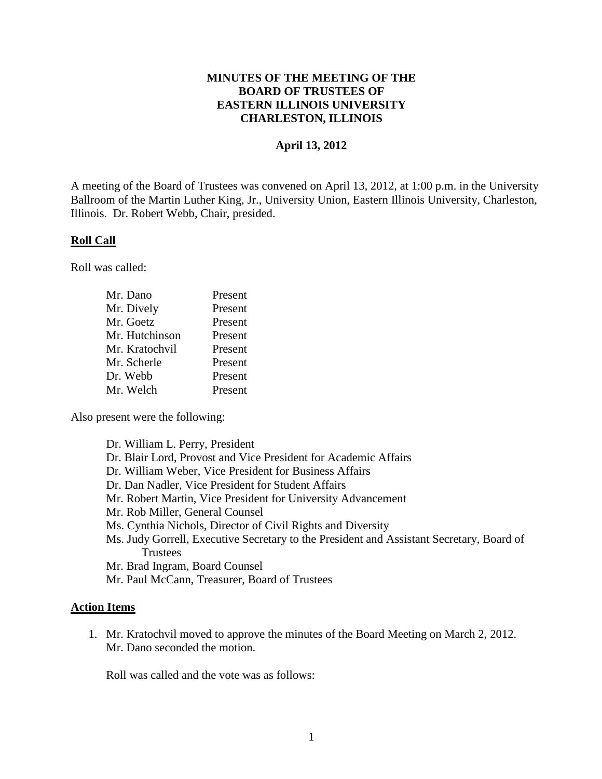## **MINUTES OF THE MEETING OF THE BOARD OF TRUSTEES OF EASTERN ILLINOIS UNIVERSITY CHARLESTON, ILLINOIS**

## **April 13, 2012**

A meeting of the Board of Trustees was convened on April 13, 2012, at 1:00 p.m. in the University Ballroom of the Martin Luther King, Jr., University Union, Eastern Illinois University, Charleston, Illinois. Dr. Robert Webb, Chair, presided.

### **Roll Call**

Roll was called:

| Mr. Dano       | Present |
|----------------|---------|
| Mr. Dively     | Present |
| Mr. Goetz      | Present |
| Mr. Hutchinson | Present |
| Mr. Kratochvil | Present |
| Mr. Scherle    | Present |
| Dr. Webb       | Present |
| Mr. Welch      | Present |

Also present were the following:

| Dr. William L. Perry, President                                                          |
|------------------------------------------------------------------------------------------|
| Dr. Blair Lord, Provost and Vice President for Academic Affairs                          |
| Dr. William Weber, Vice President for Business Affairs                                   |
| Dr. Dan Nadler, Vice President for Student Affairs                                       |
| Mr. Robert Martin, Vice President for University Advancement                             |
| Mr. Rob Miller, General Counsel                                                          |
| Ms. Cynthia Nichols, Director of Civil Rights and Diversity                              |
| Ms. Judy Gorrell, Executive Secretary to the President and Assistant Secretary, Board of |
| <b>Trustees</b>                                                                          |
| Mr. Brad Ingram, Board Counsel                                                           |
|                                                                                          |

Mr. Paul McCann, Treasurer, Board of Trustees

### **Action Items**

1. Mr. Kratochvil moved to approve the minutes of the Board Meeting on March 2, 2012. Mr. Dano seconded the motion.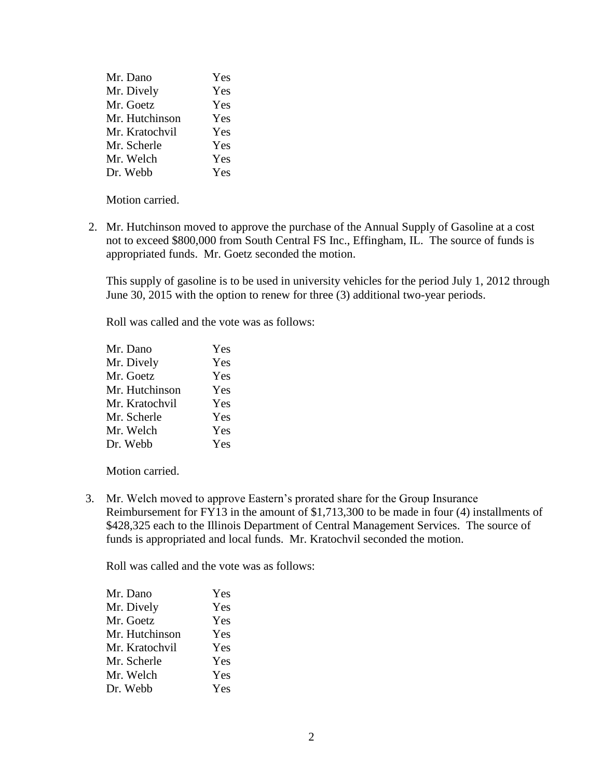| Mr. Dano       | Yes |
|----------------|-----|
| Mr. Dively     | Yes |
| Mr. Goetz      | Yes |
| Mr. Hutchinson | Yes |
| Mr. Kratochvil | Yes |
| Mr. Scherle    | Yes |
| Mr. Welch      | Yes |
| Dr. Webb       | Yes |

Motion carried.

2. Mr. Hutchinson moved to approve the purchase of the Annual Supply of Gasoline at a cost not to exceed \$800,000 from South Central FS Inc., Effingham, IL. The source of funds is appropriated funds. Mr. Goetz seconded the motion.

This supply of gasoline is to be used in university vehicles for the period July 1, 2012 through June 30, 2015 with the option to renew for three (3) additional two-year periods.

Roll was called and the vote was as follows:

| Mr. Dano       | Yes |
|----------------|-----|
| Mr. Dively     | Yes |
| Mr. Goetz      | Yes |
| Mr. Hutchinson | Yes |
| Mr. Kratochvil | Yes |
| Mr. Scherle    | Yes |
| Mr. Welch      | Yes |
| Dr. Webb       | Yes |
|                |     |

Motion carried.

 3. Mr. Welch moved to approve Eastern's prorated share for the Group Insurance Reimbursement for FY13 in the amount of \$1,713,300 to be made in four (4) installments of \$428,325 each to the Illinois Department of Central Management Services. The source of funds is appropriated and local funds. Mr. Kratochvil seconded the motion.

| Yes |
|-----|
| Yes |
| Yes |
| Yes |
| Yes |
| Yes |
| Yes |
| Yes |
|     |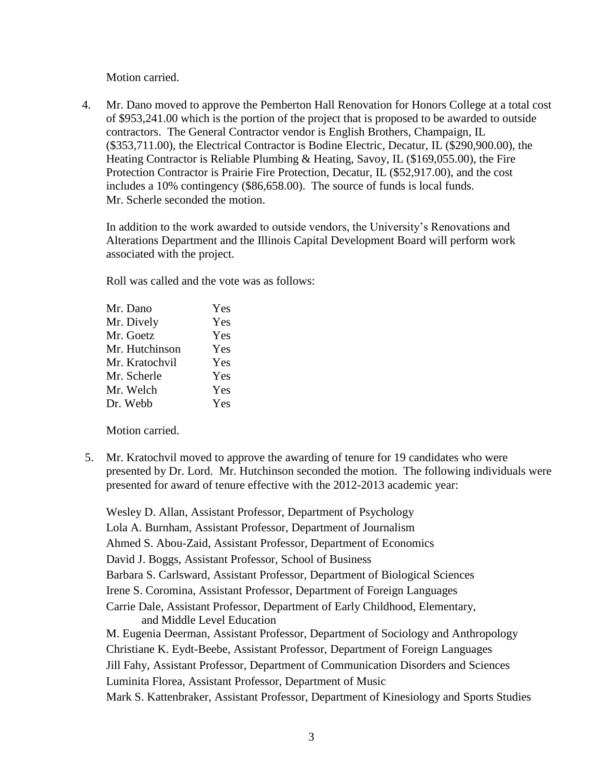Motion carried.

4. Mr. Dano moved to approve the Pemberton Hall Renovation for Honors College at a total cost of \$953,241.00 which is the portion of the project that is proposed to be awarded to outside contractors. The General Contractor vendor is English Brothers, Champaign, IL (\$353,711.00), the Electrical Contractor is Bodine Electric, Decatur, IL (\$290,900.00), the Heating Contractor is Reliable Plumbing & Heating, Savoy, IL (\$169,055.00), the Fire Protection Contractor is Prairie Fire Protection, Decatur, IL (\$52,917.00), and the cost includes a 10% contingency (\$86,658.00). The source of funds is local funds. Mr. Scherle seconded the motion.

In addition to the work awarded to outside vendors, the University's Renovations and Alterations Department and the Illinois Capital Development Board will perform work associated with the project.

Roll was called and the vote was as follows:

| Yes |
|-----|
| Yes |
| Yes |
| Yes |
| Yes |
| Yes |
| Yes |
| Yes |
|     |

Motion carried.

5. Mr. Kratochvil moved to approve the awarding of tenure for 19 candidates who were presented by Dr. Lord. Mr. Hutchinson seconded the motion. The following individuals were presented for award of tenure effective with the 2012-2013 academic year:

Wesley D. Allan, Assistant Professor, Department of Psychology Lola A. Burnham, Assistant Professor, Department of Journalism Ahmed S. Abou-Zaid, Assistant Professor, Department of Economics David J. Boggs, Assistant Professor, School of Business Barbara S. Carlsward, Assistant Professor, Department of Biological Sciences Irene S. Coromina, Assistant Professor, Department of Foreign Languages Carrie Dale, Assistant Professor, Department of Early Childhood, Elementary, and Middle Level Education M. Eugenia Deerman, Assistant Professor, Department of Sociology and Anthropology Christiane K. Eydt-Beebe, Assistant Professor, Department of Foreign Languages Jill Fahy, Assistant Professor, Department of Communication Disorders and Sciences Luminita Florea, Assistant Professor, Department of Music Mark S. Kattenbraker, Assistant Professor, Department of Kinesiology and Sports Studies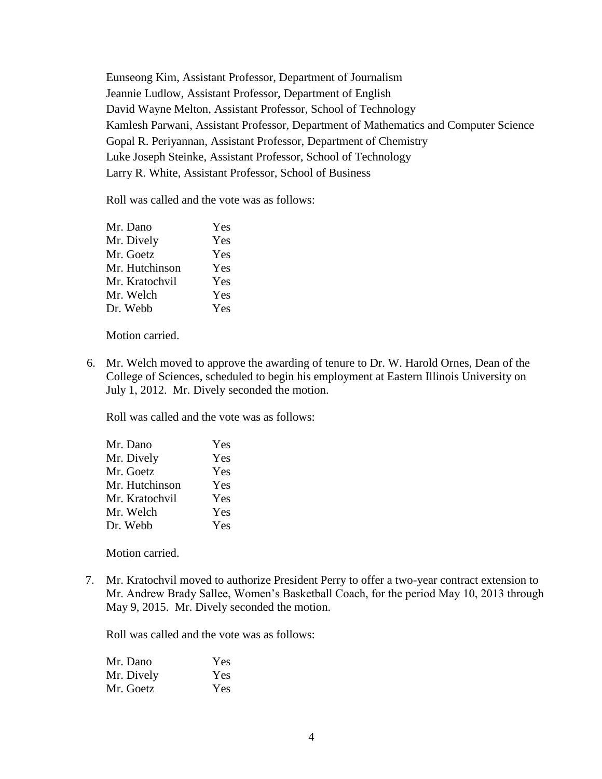Eunseong Kim, Assistant Professor, Department of Journalism Jeannie Ludlow, Assistant Professor, Department of English David Wayne Melton, Assistant Professor, School of Technology Kamlesh Parwani, Assistant Professor, Department of Mathematics and Computer Science Gopal R. Periyannan, Assistant Professor, Department of Chemistry Luke Joseph Steinke, Assistant Professor, School of Technology Larry R. White, Assistant Professor, School of Business

Roll was called and the vote was as follows:

| Mr. Dano       | Yes |
|----------------|-----|
| Mr. Dively     | Yes |
| Mr. Goetz      | Yes |
| Mr. Hutchinson | Yes |
| Mr. Kratochvil | Yes |
| Mr. Welch      | Yes |
| Dr. Webb       | Yes |
|                |     |

Motion carried.

6. Mr. Welch moved to approve the awarding of tenure to Dr. W. Harold Ornes, Dean of the College of Sciences, scheduled to begin his employment at Eastern Illinois University on July 1, 2012. Mr. Dively seconded the motion.

Roll was called and the vote was as follows:

| Mr. Dano       | Yes |
|----------------|-----|
| Mr. Dively     | Yes |
| Mr. Goetz      | Yes |
| Mr. Hutchinson | Yes |
| Mr. Kratochvil | Yes |
| Mr. Welch      | Yes |
| Dr. Webb       | Yes |

Motion carried.

 7. Mr. Kratochvil moved to authorize President Perry to offer a two-year contract extension to Mr. Andrew Brady Sallee, Women's Basketball Coach, for the period May 10, 2013 through May 9, 2015. Mr. Dively seconded the motion.

| Mr. Dano   | <b>Yes</b> |
|------------|------------|
| Mr. Dively | Yes        |
| Mr. Goetz  | Yes        |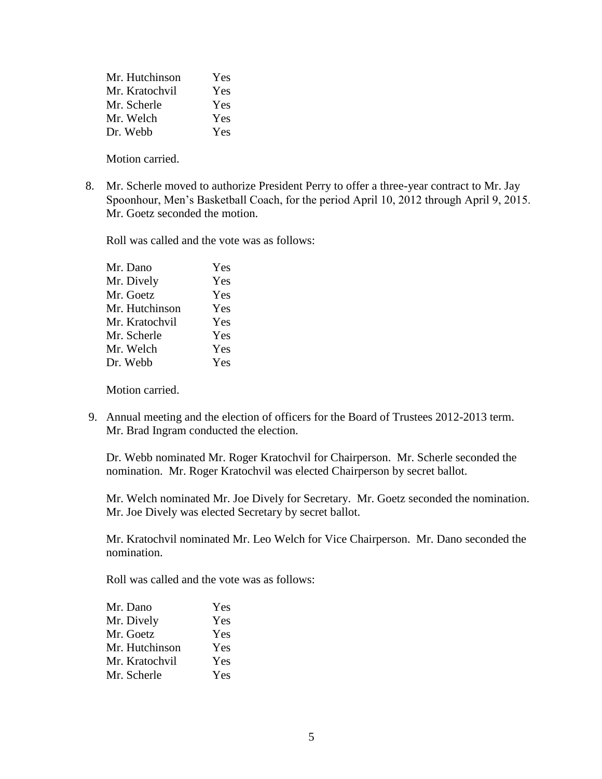| Mr. Hutchinson | Yes |
|----------------|-----|
| Mr. Kratochvil | Yes |
| Mr. Scherle    | Yes |
| Mr. Welch      | Yes |
| Dr. Webb       | Yes |

Motion carried.

 8. Mr. Scherle moved to authorize President Perry to offer a three-year contract to Mr. Jay Spoonhour, Men's Basketball Coach, for the period April 10, 2012 through April 9, 2015. Mr. Goetz seconded the motion.

Roll was called and the vote was as follows:

| Mr. Dano       | Yes |
|----------------|-----|
| Mr. Dively     | Yes |
| Mr. Goetz      | Yes |
| Mr. Hutchinson | Yes |
| Mr. Kratochvil | Yes |
| Mr. Scherle    | Yes |
| Mr. Welch      | Yes |
| Dr. Webb       | Yes |
|                |     |

Motion carried.

 9. Annual meeting and the election of officers for the Board of Trustees 2012-2013 term. Mr. Brad Ingram conducted the election.

Dr. Webb nominated Mr. Roger Kratochvil for Chairperson. Mr. Scherle seconded the nomination. Mr. Roger Kratochvil was elected Chairperson by secret ballot.

Mr. Welch nominated Mr. Joe Dively for Secretary. Mr. Goetz seconded the nomination. Mr. Joe Dively was elected Secretary by secret ballot.

Mr. Kratochvil nominated Mr. Leo Welch for Vice Chairperson. Mr. Dano seconded the nomination.

| Mr. Dano       | Yes |
|----------------|-----|
| Mr. Dively     | Yes |
| Mr. Goetz      | Yes |
| Mr. Hutchinson | Yes |
| Mr. Kratochvil | Yes |
| Mr. Scherle    | Yes |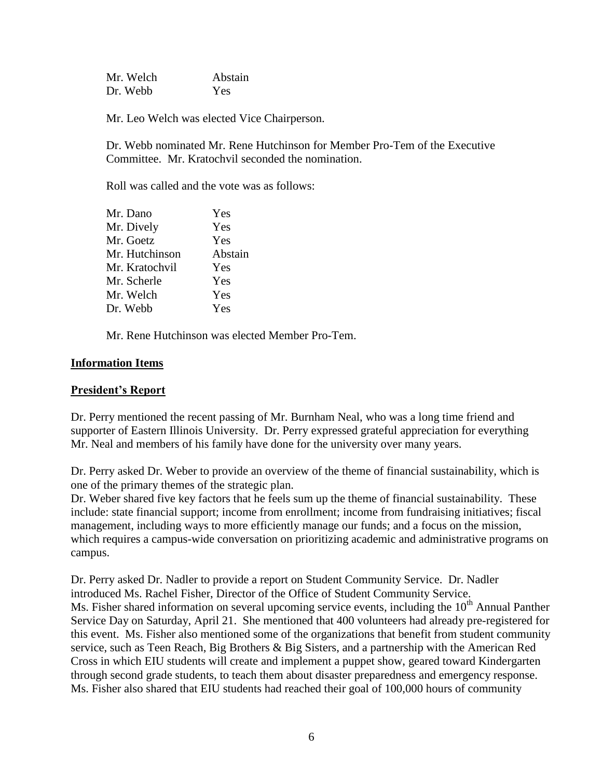| Mr. Welch | Abstain    |  |  |
|-----------|------------|--|--|
| Dr. Webb  | <b>Yes</b> |  |  |

Mr. Leo Welch was elected Vice Chairperson.

Dr. Webb nominated Mr. Rene Hutchinson for Member Pro-Tem of the Executive Committee. Mr. Kratochvil seconded the nomination.

Roll was called and the vote was as follows:

| Mr. Dano       | Yes     |
|----------------|---------|
| Mr. Dively     | Yes     |
| Mr. Goetz      | Yes     |
| Mr. Hutchinson | Abstain |
| Mr. Kratochvil | Yes     |
| Mr. Scherle    | Yes     |
| Mr. Welch      | Yes     |
| Dr. Webb       | Yes     |
|                |         |

Mr. Rene Hutchinson was elected Member Pro-Tem.

### **Information Items**

#### **President's Report**

Dr. Perry mentioned the recent passing of Mr. Burnham Neal, who was a long time friend and supporter of Eastern Illinois University. Dr. Perry expressed grateful appreciation for everything Mr. Neal and members of his family have done for the university over many years.

Dr. Perry asked Dr. Weber to provide an overview of the theme of financial sustainability, which is one of the primary themes of the strategic plan.

Dr. Weber shared five key factors that he feels sum up the theme of financial sustainability. These include: state financial support; income from enrollment; income from fundraising initiatives; fiscal management, including ways to more efficiently manage our funds; and a focus on the mission, which requires a campus-wide conversation on prioritizing academic and administrative programs on campus.

Dr. Perry asked Dr. Nadler to provide a report on Student Community Service. Dr. Nadler introduced Ms. Rachel Fisher, Director of the Office of Student Community Service. Ms. Fisher shared information on several upcoming service events, including the 10<sup>th</sup> Annual Panther Service Day on Saturday, April 21. She mentioned that 400 volunteers had already pre-registered for this event. Ms. Fisher also mentioned some of the organizations that benefit from student community service, such as Teen Reach, Big Brothers & Big Sisters, and a partnership with the American Red Cross in which EIU students will create and implement a puppet show, geared toward Kindergarten through second grade students, to teach them about disaster preparedness and emergency response. Ms. Fisher also shared that EIU students had reached their goal of 100,000 hours of community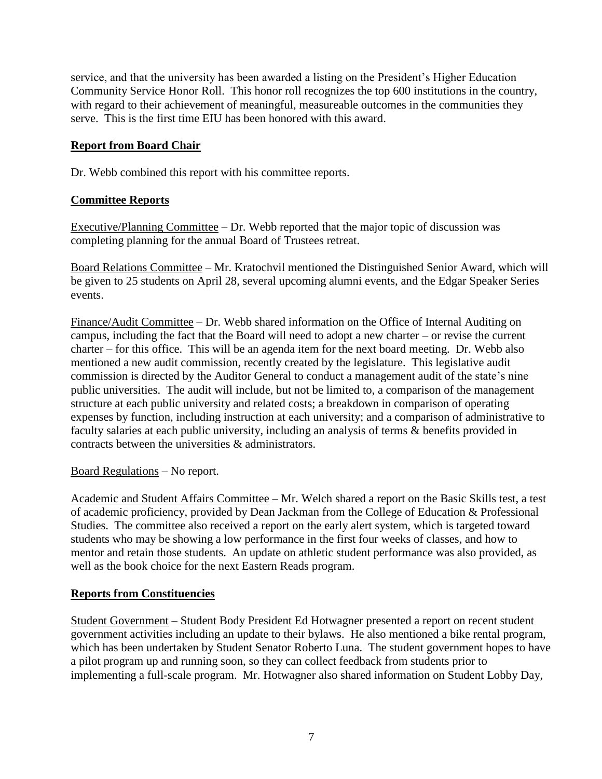service, and that the university has been awarded a listing on the President's Higher Education Community Service Honor Roll. This honor roll recognizes the top 600 institutions in the country, with regard to their achievement of meaningful, measureable outcomes in the communities they serve. This is the first time EIU has been honored with this award.

# **Report from Board Chair**

Dr. Webb combined this report with his committee reports.

# **Committee Reports**

Executive/Planning Committee – Dr. Webb reported that the major topic of discussion was completing planning for the annual Board of Trustees retreat.

Board Relations Committee – Mr. Kratochvil mentioned the Distinguished Senior Award, which will be given to 25 students on April 28, several upcoming alumni events, and the Edgar Speaker Series events.

Finance/Audit Committee – Dr. Webb shared information on the Office of Internal Auditing on campus, including the fact that the Board will need to adopt a new charter – or revise the current charter – for this office. This will be an agenda item for the next board meeting. Dr. Webb also mentioned a new audit commission, recently created by the legislature. This legislative audit commission is directed by the Auditor General to conduct a management audit of the state's nine public universities. The audit will include, but not be limited to, a comparison of the management structure at each public university and related costs; a breakdown in comparison of operating expenses by function, including instruction at each university; and a comparison of administrative to faculty salaries at each public university, including an analysis of terms & benefits provided in contracts between the universities & administrators.

Board Regulations – No report.

Academic and Student Affairs Committee – Mr. Welch shared a report on the Basic Skills test, a test of academic proficiency, provided by Dean Jackman from the College of Education & Professional Studies. The committee also received a report on the early alert system, which is targeted toward students who may be showing a low performance in the first four weeks of classes, and how to mentor and retain those students. An update on athletic student performance was also provided, as well as the book choice for the next Eastern Reads program.

# **Reports from Constituencies**

Student Government – Student Body President Ed Hotwagner presented a report on recent student government activities including an update to their bylaws. He also mentioned a bike rental program, which has been undertaken by Student Senator Roberto Luna. The student government hopes to have a pilot program up and running soon, so they can collect feedback from students prior to implementing a full-scale program. Mr. Hotwagner also shared information on Student Lobby Day,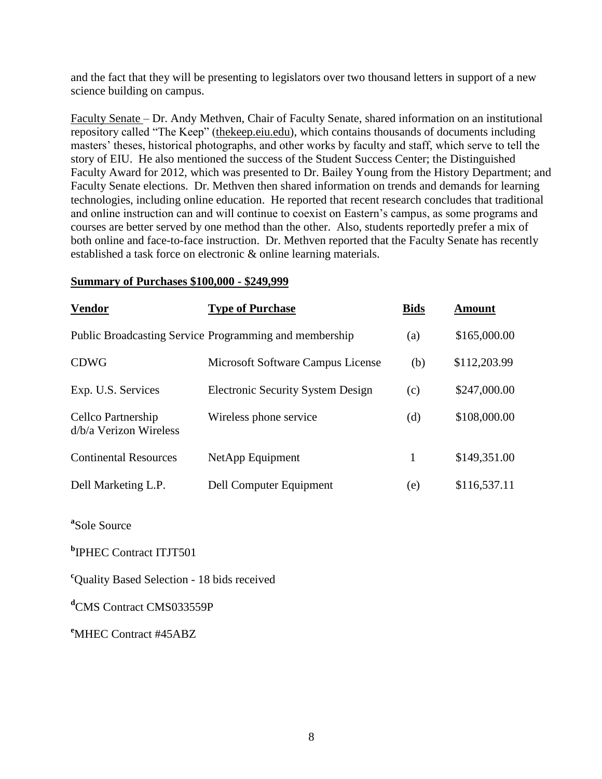and the fact that they will be presenting to legislators over two thousand letters in support of a new science building on campus.

Faculty Senate – Dr. Andy Methven, Chair of Faculty Senate, shared information on an institutional repository called "The Keep" (thekeep.eiu.edu), which contains thousands of documents including masters' theses, historical photographs, and other works by faculty and staff, which serve to tell the story of EIU. He also mentioned the success of the Student Success Center; the Distinguished Faculty Award for 2012, which was presented to Dr. Bailey Young from the History Department; and Faculty Senate elections. Dr. Methven then shared information on trends and demands for learning technologies, including online education. He reported that recent research concludes that traditional and online instruction can and will continue to coexist on Eastern's campus, as some programs and courses are better served by one method than the other. Also, students reportedly prefer a mix of both online and face-to-face instruction. Dr. Methven reported that the Faculty Senate has recently established a task force on electronic & online learning materials.

#### **Summary of Purchases \$100,000 - \$249,999**

| <b>Vendor</b>                                | <b>Type of Purchase</b>                                | <b>Bids</b> | <b>Amount</b> |
|----------------------------------------------|--------------------------------------------------------|-------------|---------------|
|                                              | Public Broadcasting Service Programming and membership | (a)         | \$165,000.00  |
| <b>CDWG</b>                                  | Microsoft Software Campus License                      | (b)         | \$112,203.99  |
| Exp. U.S. Services                           | <b>Electronic Security System Design</b>               | (c)         | \$247,000.00  |
| Cellco Partnership<br>d/b/a Verizon Wireless | Wireless phone service                                 | (d)         | \$108,000.00  |
| <b>Continental Resources</b>                 | NetApp Equipment                                       | 1           | \$149,351.00  |
| Dell Marketing L.P.                          | <b>Dell Computer Equipment</b>                         | (e)         | \$116,537.11  |

**a** Sole Source

**b** IPHEC Contract ITJT501

<sup>c</sup>Ouality Based Selection - 18 bids received

**<sup>d</sup>**CMS Contract CMS033559P

**<sup>e</sup>**MHEC Contract #45ABZ